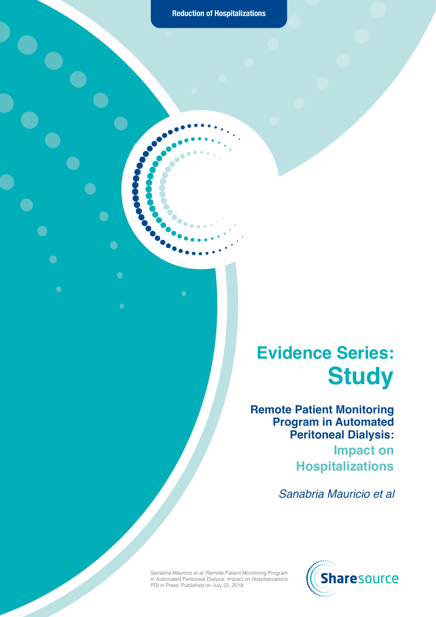$\bigcirc$ 

 $\bullet$ 

C.

 $\bullet$ 

 $\bullet$ 

 $\bullet$ 

 $\bullet$ 

#### **Evidence Series: Study**

**Remote Patient Monitoring Program in Automated Peritoneal Dialysis: Impact on Hospitalizations**

*Sanabria Mauricio et al*

Sanabria Mauricio et al. Remote Patient Monitoring Program in Automated Peritoneal Dialysis: Impact on Hospitalizations. PDI in Press. Published on July 23, 2019.

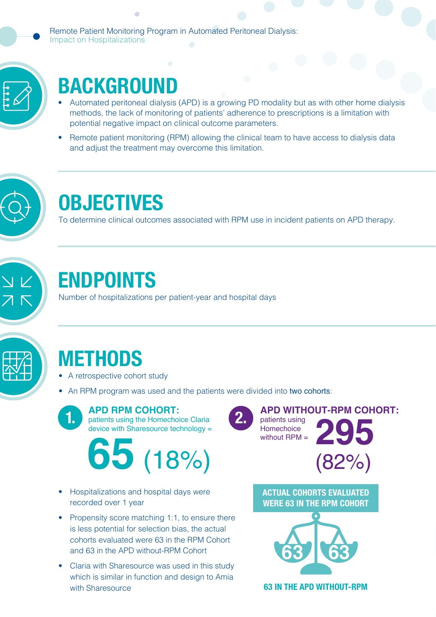Remote Patient Monitoring Program in Automated Peritoneal Dialysis: Impact on Hospitalizations



### **BACKGROUND**

×

- Automated peritoneal dialysis (APD) is a growing PD modality but as with other home dialysis methods, the lack of monitoring of patients' adherence to prescriptions is a limitation with potential negative impact on clinical outcome parameters.
- Remote patient monitoring (RPM) allowing the clinical team to have access to dialysis data and adjust the treatment may overcome this limitation.



#### **OBJECTIVES**

To determine clinical outcomes associated with RPM use in incident patients on APD therapy.



#### **ENDPOINTS**

Number of hospitalizations per patient-year and hospital days



# **METHODS**

- A retrospective cohort study
- An RPM program was used and the patients were divided into two cohorts:



# **2. <sup>295</sup> <sup>65</sup>** (18%) (82%)

- Hospitalizations and hospital days were recorded over 1 year
- Propensity score matching 1:1, to ensure there is less potential for selection bias, the actual cohorts evaluated were 63 in the RPM Cohort and 63 in the APD without-RPM Cohort
- Claria with Sharesource was used in this study which is similar in function and design to Amia with Sharesource

**APD WITHOUT-RPM COHORT:**  patients using **Homechoice** without RPM =



**ACTUAL COHORTS EVALUATED WERE 63 IN THE RPM COHORT** 



**63 IN THE APD WITHOUT-RPM**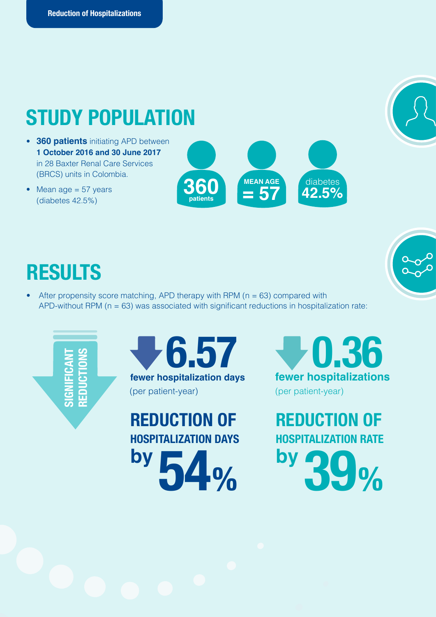### **STUDY POPULATION**

- **360 patients** initiating APD between **1 October 2016 and 30 June 2017**  in 28 Baxter Renal Care Services (BRCS) units in Colombia.
- Mean age  $= 57$  years (diabetes 42.5%)

**360 patients** diabetes **42.5% MEAN AGE = 57**

# **RESULTS**

After propensity score matching, APD therapy with RPM ( $n = 63$ ) compared with APD-without RPM ( $n = 63$ ) was associated with significant reductions in hospitalization rate:



# **SIGNIFICANT REDUCTIONS**

**1.6.57 1.86**<br>Ever hospitalization days fewer hospitalization (per patient-year)

**by 54% REDUCTION OF HOSPITALIZATION DAYS** **fewer hospitalizations** (per patient-year)

**by 39% REDUCTION OF HOSPITALIZATION RATE**